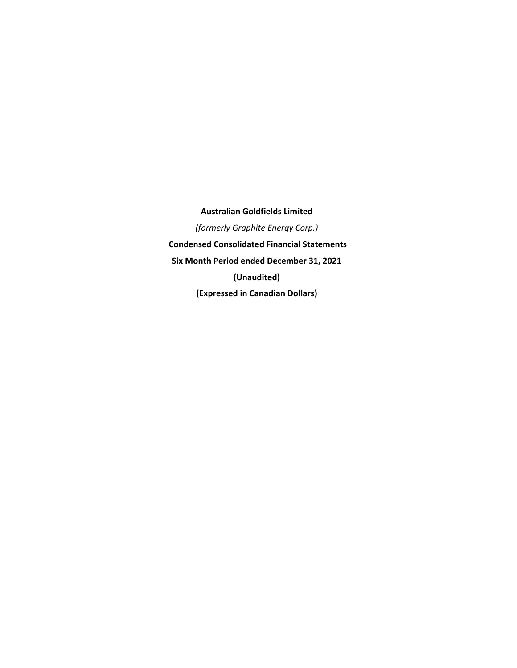**Australian Goldfields Limited**  *(formerly Graphite Energy Corp.)*   **Condensed Consolidated Financial Statements Six Month Period ended December 31, 2021 (Unaudited) (Expressed in Canadian Dollars)**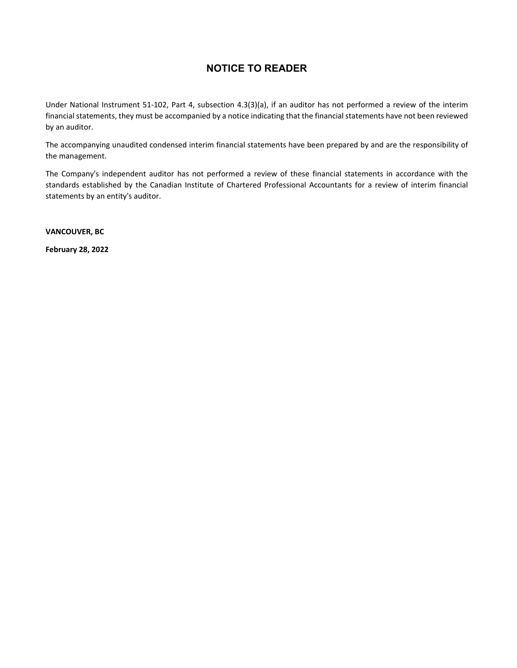# **NOTICE TO READER**

Under National Instrument 51‐102, Part 4, subsection 4.3(3)(a), if an auditor has not performed a review of the interim financial statements, they must be accompanied by a notice indicating that the financial statements have not been reviewed by an auditor.

The accompanying unaudited condensed interim financial statements have been prepared by and are the responsibility of the management.

The Company's independent auditor has not performed a review of these financial statements in accordance with the standards established by the Canadian Institute of Chartered Professional Accountants for a review of interim financial statements by an entity's auditor.

**VANCOUVER, BC** 

**February 28, 2022**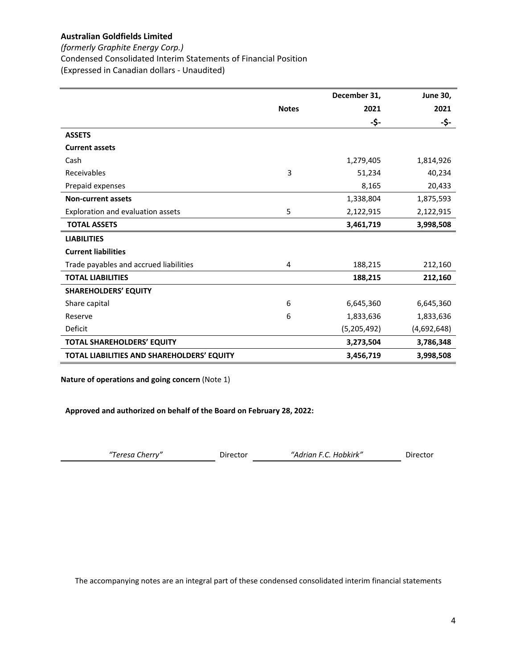*(formerly Graphite Energy Corp.)*

Condensed Consolidated Interim Statements of Financial Position

(Expressed in Canadian dollars ‐ Unaudited)

|                                            |              | December 31, | <b>June 30,</b> |
|--------------------------------------------|--------------|--------------|-----------------|
|                                            | <b>Notes</b> | 2021         | 2021            |
|                                            |              | -\$-         | -\$-            |
| <b>ASSETS</b>                              |              |              |                 |
| <b>Current assets</b>                      |              |              |                 |
| Cash                                       |              | 1,279,405    | 1,814,926       |
| Receivables                                | 3            | 51,234       | 40,234          |
| Prepaid expenses                           |              | 8,165        | 20,433          |
| <b>Non-current assets</b>                  |              | 1,338,804    | 1,875,593       |
| Exploration and evaluation assets          | 5            | 2,122,915    | 2,122,915       |
| <b>TOTAL ASSETS</b>                        |              | 3,461,719    | 3,998,508       |
| <b>LIABILITIES</b>                         |              |              |                 |
| <b>Current liabilities</b>                 |              |              |                 |
| Trade payables and accrued liabilities     | 4            | 188,215      | 212,160         |
| <b>TOTAL LIABILITIES</b>                   |              | 188,215      | 212,160         |
| <b>SHAREHOLDERS' EQUITY</b>                |              |              |                 |
| Share capital                              | 6            | 6,645,360    | 6,645,360       |
| Reserve                                    | 6            | 1,833,636    | 1,833,636       |
| Deficit                                    |              | (5,205,492)  | (4,692,648)     |
| <b>TOTAL SHAREHOLDERS' EQUITY</b>          |              | 3,273,504    | 3,786,348       |
| TOTAL LIABILITIES AND SHAREHOLDERS' EQUITY |              | 3,456,719    | 3,998,508       |

**Nature of operations and going concern** (Note 1)

**Approved and authorized on behalf of the Board on February 28, 2022:**

| "Teresa Cherry" | Director | "Adrian F.C. Hobkirk" | Director |
|-----------------|----------|-----------------------|----------|
|-----------------|----------|-----------------------|----------|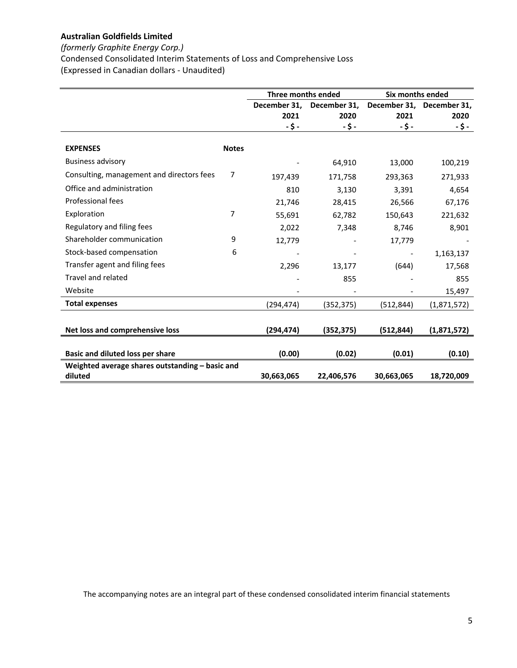## *(formerly Graphite Energy Corp.)*

Condensed Consolidated Interim Statements of Loss and Comprehensive Loss (Expressed in Canadian dollars ‐ Unaudited)

|                                                            |              | Three months ended |                          | Six months ended         |              |
|------------------------------------------------------------|--------------|--------------------|--------------------------|--------------------------|--------------|
|                                                            |              | December 31,       | December 31,             | December 31,             | December 31, |
|                                                            |              | 2021               | 2020                     | 2021                     | 2020         |
|                                                            |              | $-5-$              | $-5-$                    | -\$-                     | -\$-         |
| <b>EXPENSES</b>                                            | <b>Notes</b> |                    |                          |                          |              |
| <b>Business advisory</b>                                   |              |                    | 64,910                   | 13,000                   | 100,219      |
| Consulting, management and directors fees                  | 7            | 197,439            | 171,758                  | 293,363                  | 271,933      |
| Office and administration                                  |              | 810                | 3,130                    | 3,391                    | 4,654        |
| Professional fees                                          |              | 21,746             | 28,415                   | 26,566                   | 67,176       |
| Exploration                                                | 7            | 55,691             | 62,782                   | 150,643                  | 221,632      |
| Regulatory and filing fees                                 |              | 2,022              | 7,348                    | 8,746                    | 8,901        |
| Shareholder communication                                  | 9            | 12,779             |                          | 17,779                   |              |
| Stock-based compensation                                   | 6            |                    | $\overline{\phantom{a}}$ | $\overline{\phantom{a}}$ | 1,163,137    |
| Transfer agent and filing fees                             |              | 2,296              | 13,177                   | (644)                    | 17,568       |
| Travel and related                                         |              |                    | 855                      |                          | 855          |
| Website                                                    |              |                    |                          |                          | 15,497       |
| <b>Total expenses</b>                                      |              | (294,474)          | (352, 375)               | (512,844)                | (1,871,572)  |
|                                                            |              |                    |                          |                          |              |
| Net loss and comprehensive loss                            |              | (294, 474)         | (352, 375)               | (512, 844)               | (1,871,572)  |
| Basic and diluted loss per share                           |              | (0.00)             | (0.02)                   | (0.01)                   | (0.10)       |
| Weighted average shares outstanding - basic and<br>diluted |              | 30,663,065         | 22,406,576               | 30,663,065               | 18,720,009   |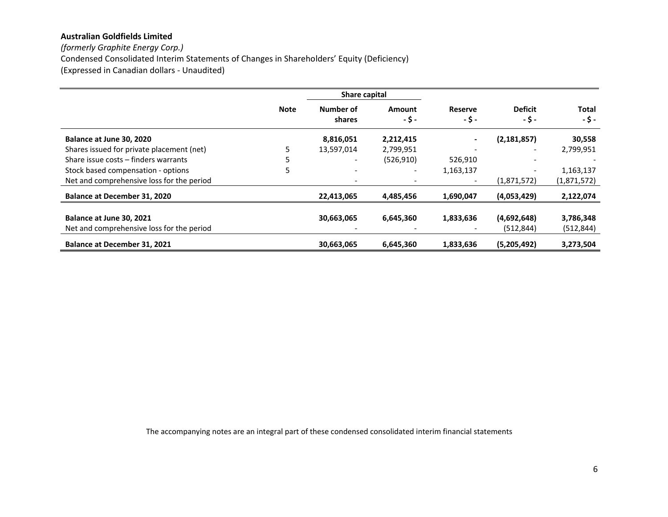*(formerly Graphite Energy Corp.)* Condensed Consolidated Interim Statements of Changes in Shareholders' Equity (Deficiency) (Expressed in Canadian dollars ‐ Unaudited)

|                                           |             | <b>Share capital</b> |                |                          |                          |                      |
|-------------------------------------------|-------------|----------------------|----------------|--------------------------|--------------------------|----------------------|
|                                           | <b>Note</b> | Number of<br>shares  | Amount<br>-\$- | <b>Reserve</b><br>-\$-   | <b>Deficit</b><br>-\$-   | <b>Total</b><br>-\$- |
| Balance at June 30, 2020                  |             | 8,816,051            | 2,212,415      | $\blacksquare$           | (2, 181, 857)            | 30,558               |
| Shares issued for private placement (net) |             | 13,597,014           | 2,799,951      | $\overline{\phantom{a}}$ | $\overline{\phantom{a}}$ | 2,799,951            |
| Share issue costs - finders warrants      |             |                      | (526, 910)     | 526,910                  | $\overline{\phantom{a}}$ |                      |
| Stock based compensation - options        | 5           | -                    | ۰              | 1,163,137                |                          | 1,163,137            |
| Net and comprehensive loss for the period |             |                      |                | $\overline{\phantom{a}}$ | (1,871,572)              | (1,871,572)          |
| <b>Balance at December 31, 2020</b>       |             | 22,413,065           | 4,485,456      | 1,690,047                | (4,053,429)              | 2,122,074            |
| Balance at June 30, 2021                  |             | 30,663,065           | 6,645,360      | 1,833,636                | (4,692,648)              | 3,786,348            |
| Net and comprehensive loss for the period |             |                      |                |                          | (512, 844)               | (512, 844)           |
| <b>Balance at December 31, 2021</b>       |             | 30,663,065           | 6.645.360      | 1.833.636                | (5,205,492)              | 3,273,504            |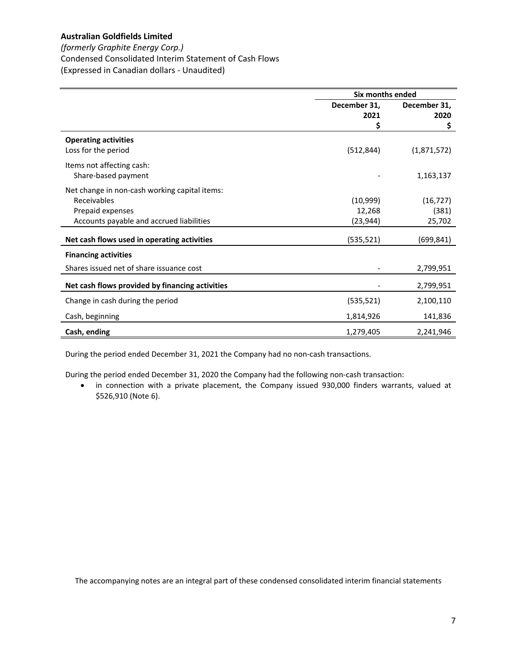## *(formerly Graphite Energy Corp.)*

Condensed Consolidated Interim Statement of Cash Flows

(Expressed in Canadian dollars ‐ Unaudited)

|                                                 | Six months ended |              |  |
|-------------------------------------------------|------------------|--------------|--|
|                                                 | December 31,     | December 31, |  |
|                                                 | 2021             | 2020         |  |
|                                                 | \$               | \$           |  |
| <b>Operating activities</b>                     |                  |              |  |
| Loss for the period                             | (512, 844)       | (1,871,572)  |  |
| Items not affecting cash:                       |                  |              |  |
| Share-based payment                             |                  | 1,163,137    |  |
| Net change in non-cash working capital items:   |                  |              |  |
| Receivables                                     | (10,999)         | (16, 727)    |  |
| Prepaid expenses                                | 12,268           | (381)        |  |
| Accounts payable and accrued liabilities        | (23, 944)        | 25,702       |  |
|                                                 |                  |              |  |
| Net cash flows used in operating activities     | (535, 521)       | (699,841)    |  |
| <b>Financing activities</b>                     |                  |              |  |
| Shares issued net of share issuance cost        |                  | 2,799,951    |  |
| Net cash flows provided by financing activities |                  | 2,799,951    |  |
| Change in cash during the period                | (535, 521)       | 2,100,110    |  |
| Cash, beginning                                 | 1,814,926        | 141,836      |  |
| Cash, ending                                    | 1,279,405        | 2,241,946    |  |

During the period ended December 31, 2021 the Company had no non‐cash transactions.

During the period ended December 31, 2020 the Company had the following non-cash transaction:

 in connection with a private placement, the Company issued 930,000 finders warrants, valued at \$526,910 (Note 6).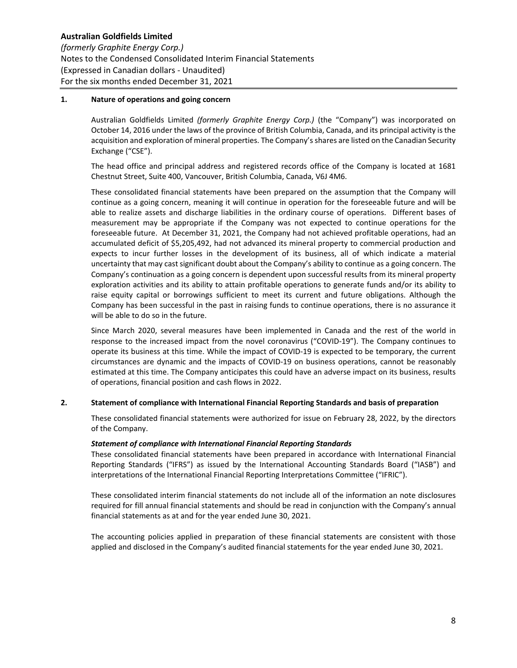### **1. Nature of operations and going concern**

Australian Goldfields Limited *(formerly Graphite Energy Corp.)* (the "Company") was incorporated on October 14, 2016 under the laws of the province of British Columbia, Canada, and its principal activity is the acquisition and exploration of mineral properties. The Company's shares are listed on the Canadian Security Exchange ("CSE").

The head office and principal address and registered records office of the Company is located at 1681 Chestnut Street, Suite 400, Vancouver, British Columbia, Canada, V6J 4M6.

These consolidated financial statements have been prepared on the assumption that the Company will continue as a going concern, meaning it will continue in operation for the foreseeable future and will be able to realize assets and discharge liabilities in the ordinary course of operations. Different bases of measurement may be appropriate if the Company was not expected to continue operations for the foreseeable future. At December 31, 2021, the Company had not achieved profitable operations, had an accumulated deficit of \$5,205,492, had not advanced its mineral property to commercial production and expects to incur further losses in the development of its business, all of which indicate a material uncertainty that may cast significant doubt about the Company's ability to continue as a going concern. The Company's continuation as a going concern is dependent upon successful results from its mineral property exploration activities and its ability to attain profitable operations to generate funds and/or its ability to raise equity capital or borrowings sufficient to meet its current and future obligations. Although the Company has been successful in the past in raising funds to continue operations, there is no assurance it will be able to do so in the future.

Since March 2020, several measures have been implemented in Canada and the rest of the world in response to the increased impact from the novel coronavirus ("COVID‐19"). The Company continues to operate its business at this time. While the impact of COVID‐19 is expected to be temporary, the current circumstances are dynamic and the impacts of COVID‐19 on business operations, cannot be reasonably estimated at this time. The Company anticipates this could have an adverse impact on its business, results of operations, financial position and cash flows in 2022.

## **2. Statement of compliance with International Financial Reporting Standards and basis of preparation**

These consolidated financial statements were authorized for issue on February 28, 2022, by the directors of the Company.

#### *Statement of compliance with International Financial Reporting Standards*

These consolidated financial statements have been prepared in accordance with International Financial Reporting Standards ("IFRS") as issued by the International Accounting Standards Board ("IASB") and interpretations of the International Financial Reporting Interpretations Committee ("IFRIC").

These consolidated interim financial statements do not include all of the information an note disclosures required for fill annual financial statements and should be read in conjunction with the Company's annual financial statements as at and for the year ended June 30, 2021.

The accounting policies applied in preparation of these financial statements are consistent with those applied and disclosed in the Company's audited financial statements for the year ended June 30, 2021.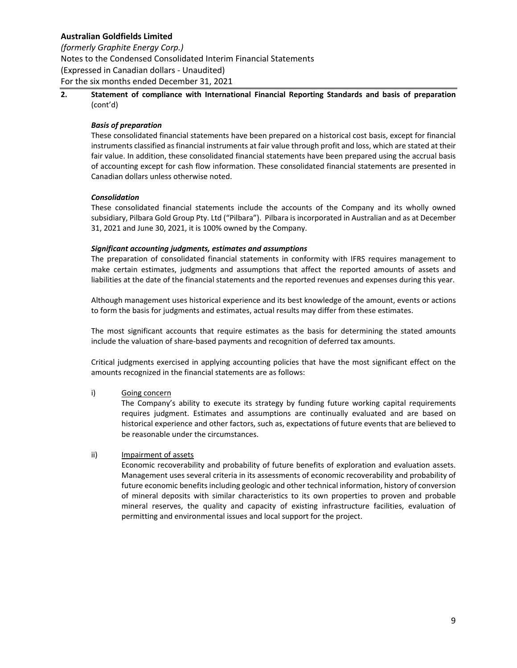*(formerly Graphite Energy Corp.)*

Notes to the Condensed Consolidated Interim Financial Statements (Expressed in Canadian dollars ‐ Unaudited) For the six months ended December 31, 2021

**2. Statement of compliance with International Financial Reporting Standards and basis of preparation**  (cont'd)

## *Basis of preparation*

These consolidated financial statements have been prepared on a historical cost basis, except for financial instruments classified as financial instruments at fair value through profit and loss, which are stated at their fair value. In addition, these consolidated financial statements have been prepared using the accrual basis of accounting except for cash flow information. These consolidated financial statements are presented in Canadian dollars unless otherwise noted.

## *Consolidation*

These consolidated financial statements include the accounts of the Company and its wholly owned subsidiary, Pilbara Gold Group Pty. Ltd ("Pilbara"). Pilbara is incorporated in Australian and as at December 31, 2021 and June 30, 2021, it is 100% owned by the Company.

## *Significant accounting judgments, estimates and assumptions*

The preparation of consolidated financial statements in conformity with IFRS requires management to make certain estimates, judgments and assumptions that affect the reported amounts of assets and liabilities at the date of the financial statements and the reported revenues and expenses during this year.

Although management uses historical experience and its best knowledge of the amount, events or actions to form the basis for judgments and estimates, actual results may differ from these estimates.

The most significant accounts that require estimates as the basis for determining the stated amounts include the valuation of share‐based payments and recognition of deferred tax amounts.

Critical judgments exercised in applying accounting policies that have the most significant effect on the amounts recognized in the financial statements are as follows:

## i) Going concern

The Company's ability to execute its strategy by funding future working capital requirements requires judgment. Estimates and assumptions are continually evaluated and are based on historical experience and other factors, such as, expectations of future events that are believed to be reasonable under the circumstances.

## ii) Impairment of assets

Economic recoverability and probability of future benefits of exploration and evaluation assets. Management uses several criteria in its assessments of economic recoverability and probability of future economic benefits including geologic and other technical information, history of conversion of mineral deposits with similar characteristics to its own properties to proven and probable mineral reserves, the quality and capacity of existing infrastructure facilities, evaluation of permitting and environmental issues and local support for the project.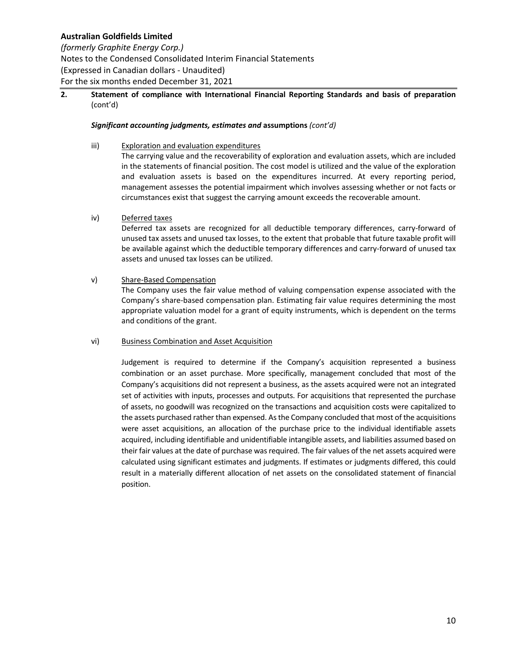## *(formerly Graphite Energy Corp.)*

Notes to the Condensed Consolidated Interim Financial Statements (Expressed in Canadian dollars ‐ Unaudited) For the six months ended December 31, 2021

## **2. Statement of compliance with International Financial Reporting Standards and basis of preparation**  (cont'd)

## *Significant accounting judgments, estimates and* **assumptions** *(cont'd)*

## iii) Exploration and evaluation expenditures

The carrying value and the recoverability of exploration and evaluation assets, which are included in the statements of financial position. The cost model is utilized and the value of the exploration and evaluation assets is based on the expenditures incurred. At every reporting period, management assesses the potential impairment which involves assessing whether or not facts or circumstances exist that suggest the carrying amount exceeds the recoverable amount.

## iv) Deferred taxes

Deferred tax assets are recognized for all deductible temporary differences, carry-forward of unused tax assets and unused tax losses, to the extent that probable that future taxable profit will be available against which the deductible temporary differences and carry‐forward of unused tax assets and unused tax losses can be utilized.

## v) Share‐Based Compensation

The Company uses the fair value method of valuing compensation expense associated with the Company's share‐based compensation plan. Estimating fair value requires determining the most appropriate valuation model for a grant of equity instruments, which is dependent on the terms and conditions of the grant.

## vi) Business Combination and Asset Acquisition

Judgement is required to determine if the Company's acquisition represented a business combination or an asset purchase. More specifically, management concluded that most of the Company's acquisitions did not represent a business, as the assets acquired were not an integrated set of activities with inputs, processes and outputs. For acquisitions that represented the purchase of assets, no goodwill was recognized on the transactions and acquisition costs were capitalized to the assets purchased rather than expensed. As the Company concluded that most of the acquisitions were asset acquisitions, an allocation of the purchase price to the individual identifiable assets acquired, including identifiable and unidentifiable intangible assets, and liabilities assumed based on their fair values at the date of purchase was required. The fair values of the net assets acquired were calculated using significant estimates and judgments. If estimates or judgments differed, this could result in a materially different allocation of net assets on the consolidated statement of financial position.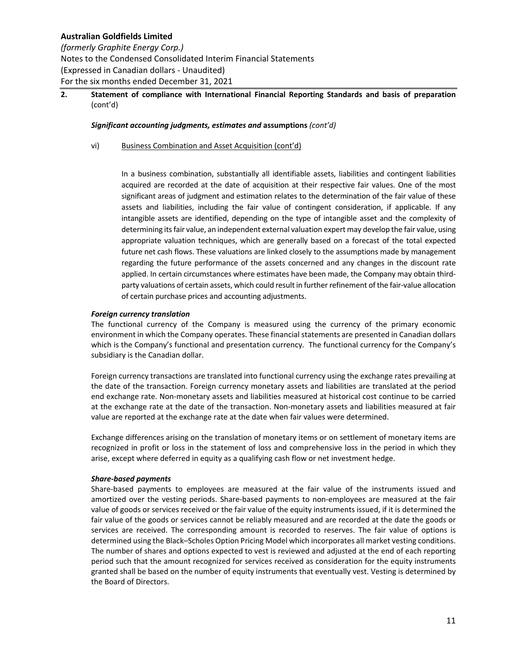*(formerly Graphite Energy Corp.)* Notes to the Condensed Consolidated Interim Financial Statements (Expressed in Canadian dollars ‐ Unaudited) For the six months ended December 31, 2021

## **2. Statement of compliance with International Financial Reporting Standards and basis of preparation**  (cont'd)

### *Significant accounting judgments, estimates and* **assumptions** *(cont'd)*

### vi) Business Combination and Asset Acquisition (cont'd)

In a business combination, substantially all identifiable assets, liabilities and contingent liabilities acquired are recorded at the date of acquisition at their respective fair values. One of the most significant areas of judgment and estimation relates to the determination of the fair value of these assets and liabilities, including the fair value of contingent consideration, if applicable. If any intangible assets are identified, depending on the type of intangible asset and the complexity of determining its fair value, an independent external valuation expert may develop the fair value, using appropriate valuation techniques, which are generally based on a forecast of the total expected future net cash flows. These valuations are linked closely to the assumptions made by management regarding the future performance of the assets concerned and any changes in the discount rate applied. In certain circumstances where estimates have been made, the Company may obtain third‐ party valuations of certain assets, which could result in further refinement of the fair‐value allocation of certain purchase prices and accounting adjustments.

### *Foreign currency translation*

The functional currency of the Company is measured using the currency of the primary economic environment in which the Company operates. These financial statements are presented in Canadian dollars which is the Company's functional and presentation currency. The functional currency for the Company's subsidiary is the Canadian dollar.

Foreign currency transactions are translated into functional currency using the exchange rates prevailing at the date of the transaction. Foreign currency monetary assets and liabilities are translated at the period end exchange rate. Non-monetary assets and liabilities measured at historical cost continue to be carried at the exchange rate at the date of the transaction. Non‐monetary assets and liabilities measured at fair value are reported at the exchange rate at the date when fair values were determined.

Exchange differences arising on the translation of monetary items or on settlement of monetary items are recognized in profit or loss in the statement of loss and comprehensive loss in the period in which they arise, except where deferred in equity as a qualifying cash flow or net investment hedge.

#### *Share‐based payments*

Share-based payments to employees are measured at the fair value of the instruments issued and amortized over the vesting periods. Share-based payments to non-employees are measured at the fair value of goods or services received or the fair value of the equity instruments issued, if it is determined the fair value of the goods or services cannot be reliably measured and are recorded at the date the goods or services are received. The corresponding amount is recorded to reserves. The fair value of options is determined using the Black–Scholes Option Pricing Model which incorporates all market vesting conditions. The number of shares and options expected to vest is reviewed and adjusted at the end of each reporting period such that the amount recognized for services received as consideration for the equity instruments granted shall be based on the number of equity instruments that eventually vest. Vesting is determined by the Board of Directors.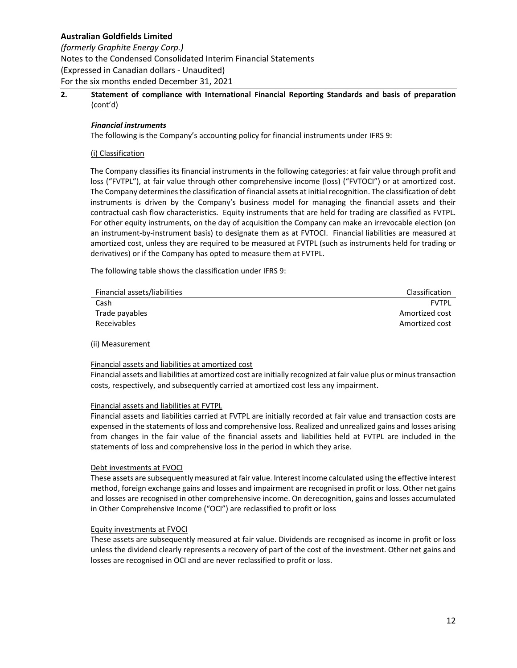*(formerly Graphite Energy Corp.)* Notes to the Condensed Consolidated Interim Financial Statements (Expressed in Canadian dollars ‐ Unaudited) For the six months ended December 31, 2021

## **2. Statement of compliance with International Financial Reporting Standards and basis of preparation**  (cont'd)

## *Financial instruments*

The following is the Company's accounting policy for financial instruments under IFRS 9:

### (i) Classification

The Company classifies its financial instruments in the following categories: at fair value through profit and loss ("FVTPL"), at fair value through other comprehensive income (loss) ("FVTOCI") or at amortized cost. The Company determines the classification of financial assets at initial recognition. The classification of debt instruments is driven by the Company's business model for managing the financial assets and their contractual cash flow characteristics. Equity instruments that are held for trading are classified as FVTPL. For other equity instruments, on the day of acquisition the Company can make an irrevocable election (on an instrument‐by‐instrument basis) to designate them as at FVTOCI. Financial liabilities are measured at amortized cost, unless they are required to be measured at FVTPL (such as instruments held for trading or derivatives) or if the Company has opted to measure them at FVTPL.

The following table shows the classification under IFRS 9:

| Financial assets/liabilities | <b>Classification</b> |
|------------------------------|-----------------------|
| Cash                         | FVTPI                 |
| Trade payables               | Amortized cost        |
| Receivables                  | Amortized cost        |
|                              |                       |

#### (ii) Measurement

#### Financial assets and liabilities at amortized cost

Financial assets and liabilities at amortized cost are initially recognized at fair value plus or minus transaction costs, respectively, and subsequently carried at amortized cost less any impairment.

#### Financial assets and liabilities at FVTPL

Financial assets and liabilities carried at FVTPL are initially recorded at fair value and transaction costs are expensed in the statements of loss and comprehensive loss. Realized and unrealized gains and losses arising from changes in the fair value of the financial assets and liabilities held at FVTPL are included in the statements of loss and comprehensive loss in the period in which they arise.

#### Debt investments at FVOCI

These assets are subsequently measured at fair value. Interest income calculated using the effective interest method, foreign exchange gains and losses and impairment are recognised in profit or loss. Other net gains and losses are recognised in other comprehensive income. On derecognition, gains and losses accumulated in Other Comprehensive Income ("OCI") are reclassified to profit or loss

#### Equity investments at FVOCI

These assets are subsequently measured at fair value. Dividends are recognised as income in profit or loss unless the dividend clearly represents a recovery of part of the cost of the investment. Other net gains and losses are recognised in OCI and are never reclassified to profit or loss.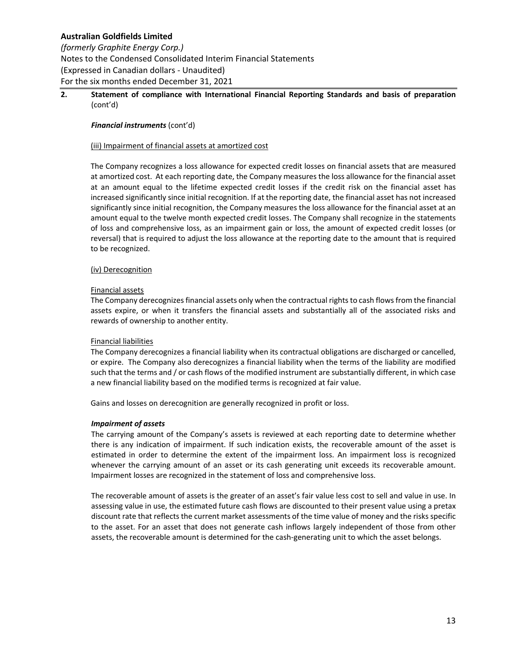*(formerly Graphite Energy Corp.)* Notes to the Condensed Consolidated Interim Financial Statements (Expressed in Canadian dollars ‐ Unaudited) For the six months ended December 31, 2021

## **2. Statement of compliance with International Financial Reporting Standards and basis of preparation**  (cont'd)

### *Financial instruments* (cont'd)

### (iii) Impairment of financial assets at amortized cost

The Company recognizes a loss allowance for expected credit losses on financial assets that are measured at amortized cost. At each reporting date, the Company measures the loss allowance for the financial asset at an amount equal to the lifetime expected credit losses if the credit risk on the financial asset has increased significantly since initial recognition. If at the reporting date, the financial asset has not increased significantly since initial recognition, the Company measures the loss allowance for the financial asset at an amount equal to the twelve month expected credit losses. The Company shall recognize in the statements of loss and comprehensive loss, as an impairment gain or loss, the amount of expected credit losses (or reversal) that is required to adjust the loss allowance at the reporting date to the amount that is required to be recognized.

### (iv) Derecognition

#### Financial assets

The Company derecognizes financial assets only when the contractual rights to cash flows from the financial assets expire, or when it transfers the financial assets and substantially all of the associated risks and rewards of ownership to another entity.

#### Financial liabilities

The Company derecognizes a financial liability when its contractual obligations are discharged or cancelled, or expire. The Company also derecognizes a financial liability when the terms of the liability are modified such that the terms and / or cash flows of the modified instrument are substantially different, in which case a new financial liability based on the modified terms is recognized at fair value.

Gains and losses on derecognition are generally recognized in profit or loss.

## *Impairment of assets*

The carrying amount of the Company's assets is reviewed at each reporting date to determine whether there is any indication of impairment. If such indication exists, the recoverable amount of the asset is estimated in order to determine the extent of the impairment loss. An impairment loss is recognized whenever the carrying amount of an asset or its cash generating unit exceeds its recoverable amount. Impairment losses are recognized in the statement of loss and comprehensive loss.

The recoverable amount of assets is the greater of an asset's fair value less cost to sell and value in use. In assessing value in use, the estimated future cash flows are discounted to their present value using a pretax discount rate that reflects the current market assessments of the time value of money and the risks specific to the asset. For an asset that does not generate cash inflows largely independent of those from other assets, the recoverable amount is determined for the cash‐generating unit to which the asset belongs.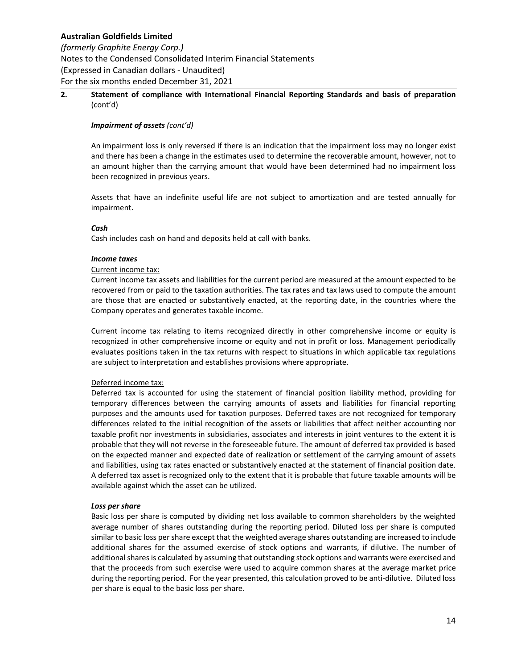*(formerly Graphite Energy Corp.)* Notes to the Condensed Consolidated Interim Financial Statements (Expressed in Canadian dollars ‐ Unaudited) For the six months ended December 31, 2021

## **2. Statement of compliance with International Financial Reporting Standards and basis of preparation**  (cont'd)

### *Impairment of assets (cont'd)*

An impairment loss is only reversed if there is an indication that the impairment loss may no longer exist and there has been a change in the estimates used to determine the recoverable amount, however, not to an amount higher than the carrying amount that would have been determined had no impairment loss been recognized in previous years.

Assets that have an indefinite useful life are not subject to amortization and are tested annually for impairment.

## *Cash*

Cash includes cash on hand and deposits held at call with banks.

### *Income taxes*

### Current income tax:

Current income tax assets and liabilities for the current period are measured at the amount expected to be recovered from or paid to the taxation authorities. The tax rates and tax laws used to compute the amount are those that are enacted or substantively enacted, at the reporting date, in the countries where the Company operates and generates taxable income.

Current income tax relating to items recognized directly in other comprehensive income or equity is recognized in other comprehensive income or equity and not in profit or loss. Management periodically evaluates positions taken in the tax returns with respect to situations in which applicable tax regulations are subject to interpretation and establishes provisions where appropriate.

## Deferred income tax:

Deferred tax is accounted for using the statement of financial position liability method, providing for temporary differences between the carrying amounts of assets and liabilities for financial reporting purposes and the amounts used for taxation purposes. Deferred taxes are not recognized for temporary differences related to the initial recognition of the assets or liabilities that affect neither accounting nor taxable profit nor investments in subsidiaries, associates and interests in joint ventures to the extent it is probable that they will not reverse in the foreseeable future. The amount of deferred tax provided is based on the expected manner and expected date of realization or settlement of the carrying amount of assets and liabilities, using tax rates enacted or substantively enacted at the statement of financial position date. A deferred tax asset is recognized only to the extent that it is probable that future taxable amounts will be available against which the asset can be utilized.

#### *Loss per share*

Basic loss per share is computed by dividing net loss available to common shareholders by the weighted average number of shares outstanding during the reporting period. Diluted loss per share is computed similar to basic loss per share except that the weighted average shares outstanding are increased to include additional shares for the assumed exercise of stock options and warrants, if dilutive. The number of additional shares is calculated by assuming that outstanding stock options and warrants were exercised and that the proceeds from such exercise were used to acquire common shares at the average market price during the reporting period. For the year presented, this calculation proved to be anti‐dilutive. Diluted loss per share is equal to the basic loss per share.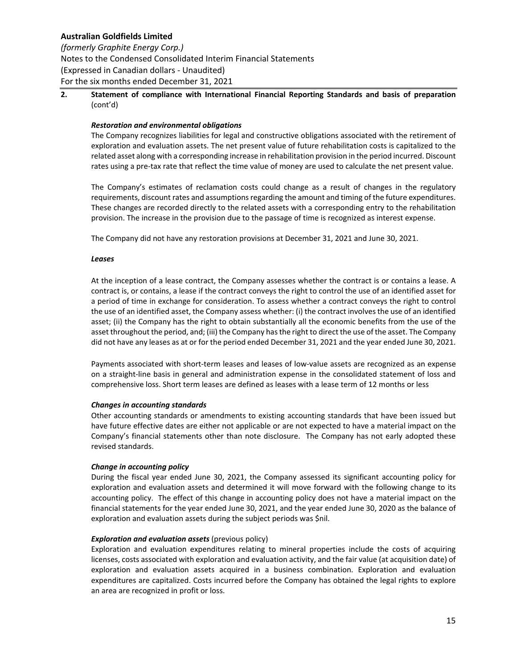*(formerly Graphite Energy Corp.)* Notes to the Condensed Consolidated Interim Financial Statements (Expressed in Canadian dollars ‐ Unaudited) For the six months ended December 31, 2021

**2. Statement of compliance with International Financial Reporting Standards and basis of preparation**  (cont'd)

### *Restoration and environmental obligations*

The Company recognizes liabilities for legal and constructive obligations associated with the retirement of exploration and evaluation assets. The net present value of future rehabilitation costs is capitalized to the related asset along with a corresponding increase in rehabilitation provision in the period incurred. Discount rates using a pre‐tax rate that reflect the time value of money are used to calculate the net present value.

The Company's estimates of reclamation costs could change as a result of changes in the regulatory requirements, discount rates and assumptions regarding the amount and timing of the future expenditures. These changes are recorded directly to the related assets with a corresponding entry to the rehabilitation provision. The increase in the provision due to the passage of time is recognized as interest expense.

The Company did not have any restoration provisions at December 31, 2021 and June 30, 2021.

### *Leases*

At the inception of a lease contract, the Company assesses whether the contract is or contains a lease. A contract is, or contains, a lease if the contract conveys the right to control the use of an identified asset for a period of time in exchange for consideration. To assess whether a contract conveys the right to control the use of an identified asset, the Company assess whether: (i) the contract involves the use of an identified asset; (ii) the Company has the right to obtain substantially all the economic benefits from the use of the asset throughout the period, and; (iii) the Company has the right to direct the use of the asset. The Company did not have any leases as at or for the period ended December 31, 2021 and the year ended June 30, 2021.

Payments associated with short‐term leases and leases of low‐value assets are recognized as an expense on a straight‐line basis in general and administration expense in the consolidated statement of loss and comprehensive loss. Short term leases are defined as leases with a lease term of 12 months or less

#### *Changes in accounting standards*

Other accounting standards or amendments to existing accounting standards that have been issued but have future effective dates are either not applicable or are not expected to have a material impact on the Company's financial statements other than note disclosure. The Company has not early adopted these revised standards.

## *Change in accounting policy*

During the fiscal year ended June 30, 2021, the Company assessed its significant accounting policy for exploration and evaluation assets and determined it will move forward with the following change to its accounting policy. The effect of this change in accounting policy does not have a material impact on the financial statements for the year ended June 30, 2021, and the year ended June 30, 2020 as the balance of exploration and evaluation assets during the subject periods was \$nil.

## *Exploration and evaluation assets* (previous policy)

Exploration and evaluation expenditures relating to mineral properties include the costs of acquiring licenses, costs associated with exploration and evaluation activity, and the fair value (at acquisition date) of exploration and evaluation assets acquired in a business combination. Exploration and evaluation expenditures are capitalized. Costs incurred before the Company has obtained the legal rights to explore an area are recognized in profit or loss.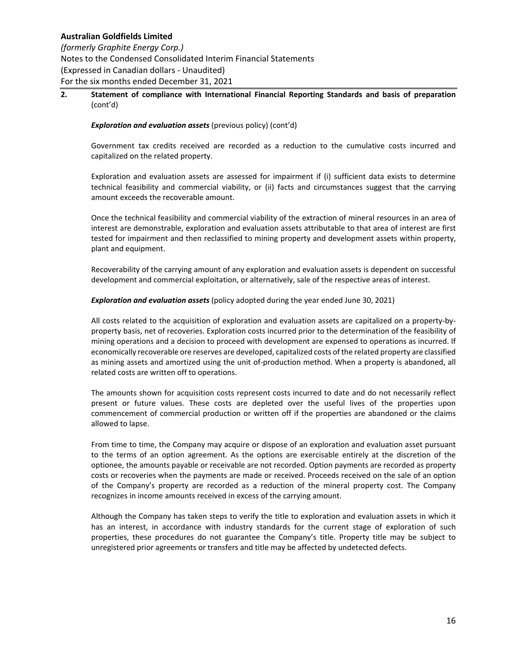*(formerly Graphite Energy Corp.)* Notes to the Condensed Consolidated Interim Financial Statements (Expressed in Canadian dollars ‐ Unaudited) For the six months ended December 31, 2021

## **2. Statement of compliance with International Financial Reporting Standards and basis of preparation**  (cont'd)

### *Exploration and evaluation assets* (previous policy) (cont'd)

Government tax credits received are recorded as a reduction to the cumulative costs incurred and capitalized on the related property.

Exploration and evaluation assets are assessed for impairment if (i) sufficient data exists to determine technical feasibility and commercial viability, or (ii) facts and circumstances suggest that the carrying amount exceeds the recoverable amount.

Once the technical feasibility and commercial viability of the extraction of mineral resources in an area of interest are demonstrable, exploration and evaluation assets attributable to that area of interest are first tested for impairment and then reclassified to mining property and development assets within property, plant and equipment.

Recoverability of the carrying amount of any exploration and evaluation assets is dependent on successful development and commercial exploitation, or alternatively, sale of the respective areas of interest.

### *Exploration and evaluation assets* (policy adopted during the year ended June 30, 2021)

All costs related to the acquisition of exploration and evaluation assets are capitalized on a property‐by‐ property basis, net of recoveries. Exploration costs incurred prior to the determination of the feasibility of mining operations and a decision to proceed with development are expensed to operations as incurred. If economically recoverable ore reserves are developed, capitalized costs of the related property are classified as mining assets and amortized using the unit of‐production method. When a property is abandoned, all related costs are written off to operations.

The amounts shown for acquisition costs represent costs incurred to date and do not necessarily reflect present or future values. These costs are depleted over the useful lives of the properties upon commencement of commercial production or written off if the properties are abandoned or the claims allowed to lapse.

From time to time, the Company may acquire or dispose of an exploration and evaluation asset pursuant to the terms of an option agreement. As the options are exercisable entirely at the discretion of the optionee, the amounts payable or receivable are not recorded. Option payments are recorded as property costs or recoveries when the payments are made or received. Proceeds received on the sale of an option of the Company's property are recorded as a reduction of the mineral property cost. The Company recognizes in income amounts received in excess of the carrying amount.

Although the Company has taken steps to verify the title to exploration and evaluation assets in which it has an interest, in accordance with industry standards for the current stage of exploration of such properties, these procedures do not guarantee the Company's title. Property title may be subject to unregistered prior agreements or transfers and title may be affected by undetected defects.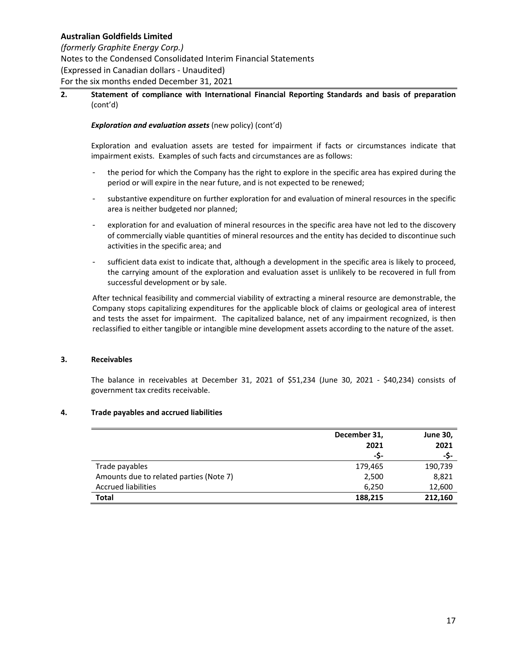# *(formerly Graphite Energy Corp.)*

Notes to the Condensed Consolidated Interim Financial Statements (Expressed in Canadian dollars ‐ Unaudited) For the six months ended December 31, 2021

## **2. Statement of compliance with International Financial Reporting Standards and basis of preparation**  (cont'd)

## *Exploration and evaluation assets* (new policy) (cont'd)

Exploration and evaluation assets are tested for impairment if facts or circumstances indicate that impairment exists. Examples of such facts and circumstances are as follows:

- the period for which the Company has the right to explore in the specific area has expired during the period or will expire in the near future, and is not expected to be renewed;
- ‐ substantive expenditure on further exploration for and evaluation of mineral resources in the specific area is neither budgeted nor planned;
- ‐ exploration for and evaluation of mineral resources in the specific area have not led to the discovery of commercially viable quantities of mineral resources and the entity has decided to discontinue such activities in the specific area; and
- sufficient data exist to indicate that, although a development in the specific area is likely to proceed, the carrying amount of the exploration and evaluation asset is unlikely to be recovered in full from successful development or by sale.

After technical feasibility and commercial viability of extracting a mineral resource are demonstrable, the Company stops capitalizing expenditures for the applicable block of claims or geological area of interest and tests the asset for impairment. The capitalized balance, net of any impairment recognized, is then reclassified to either tangible or intangible mine development assets according to the nature of the asset.

## **3. Receivables**

The balance in receivables at December 31, 2021 of  $$51,234$  (June 30, 2021 -  $$40,234)$  consists of government tax credits receivable.

## **4. Trade payables and accrued liabilities**

|                                         | December 31, | <b>June 30,</b> |
|-----------------------------------------|--------------|-----------------|
|                                         | 2021         | 2021            |
|                                         | -S-          | -S-             |
| Trade payables                          | 179,465      | 190,739         |
| Amounts due to related parties (Note 7) | 2,500        | 8,821           |
| <b>Accrued liabilities</b>              | 6,250        | 12,600          |
| Total                                   | 188,215      | 212,160         |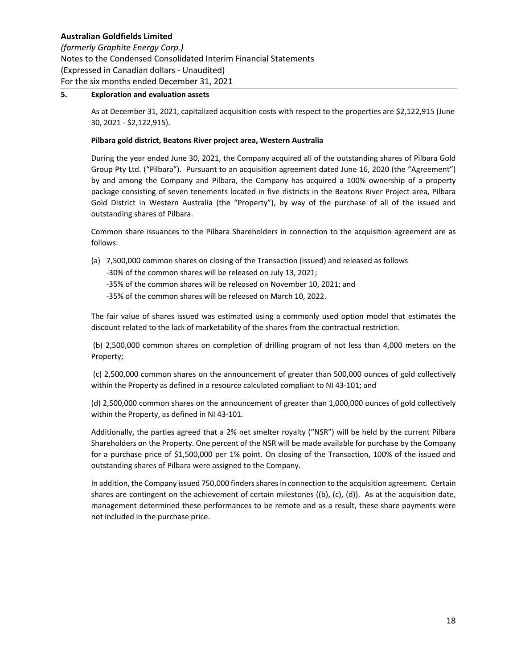*(formerly Graphite Energy Corp.)* Notes to the Condensed Consolidated Interim Financial Statements (Expressed in Canadian dollars ‐ Unaudited) For the six months ended December 31, 2021

### **5. Exploration and evaluation assets**

As at December 31, 2021, capitalized acquisition costs with respect to the properties are \$2,122,915 (June 30, 2021 ‐ \$2,122,915).

#### **Pilbara gold district, Beatons River project area, Western Australia**

During the year ended June 30, 2021, the Company acquired all of the outstanding shares of Pilbara Gold Group Pty Ltd. ("Pilbara"). Pursuant to an acquisition agreement dated June 16, 2020 (the "Agreement") by and among the Company and Pilbara, the Company has acquired a 100% ownership of a property package consisting of seven tenements located in five districts in the Beatons River Project area, Pilbara Gold District in Western Australia (the "Property"), by way of the purchase of all of the issued and outstanding shares of Pilbara.

Common share issuances to the Pilbara Shareholders in connection to the acquisition agreement are as follows:

(a) 7,500,000 common shares on closing of the Transaction (issued) and released as follows

‐30% of the common shares will be released on July 13, 2021;

‐35% of the common shares will be released on November 10, 2021; and

‐35% of the common shares will be released on March 10, 2022.

The fair value of shares issued was estimated using a commonly used option model that estimates the discount related to the lack of marketability of the shares from the contractual restriction.

 (b) 2,500,000 common shares on completion of drilling program of not less than 4,000 meters on the Property;

(c) 2,500,000 common shares on the announcement of greater than 500,000 ounces of gold collectively within the Property as defined in a resource calculated compliant to NI 43‐101; and

(d) 2,500,000 common shares on the announcement of greater than 1,000,000 ounces of gold collectively within the Property, as defined in NI 43‐101.

Additionally, the parties agreed that a 2% net smelter royalty ("NSR") will be held by the current Pilbara Shareholders on the Property. One percent of the NSR will be made available for purchase by the Company for a purchase price of \$1,500,000 per 1% point. On closing of the Transaction, 100% of the issued and outstanding shares of Pilbara were assigned to the Company.

In addition, the Company issued 750,000 finders shares in connection to the acquisition agreement. Certain shares are contingent on the achievement of certain milestones ((b), (c), (d)). As at the acquisition date, management determined these performances to be remote and as a result, these share payments were not included in the purchase price.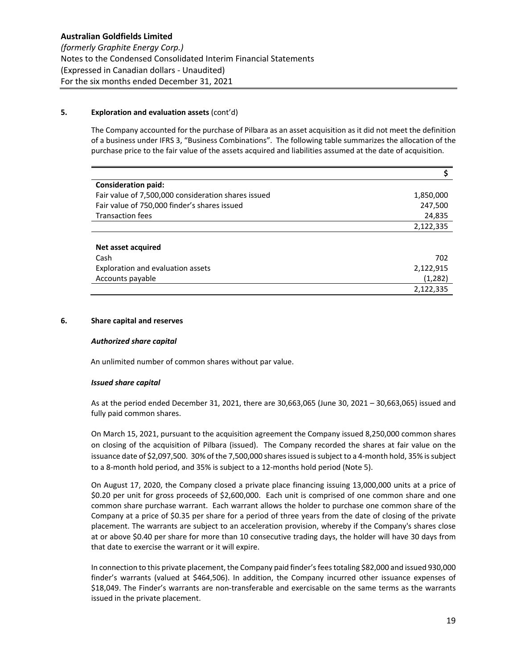### **5. Exploration and evaluation assets** (cont'd)

The Company accounted for the purchase of Pilbara as an asset acquisition as it did not meet the definition of a business under IFRS 3, "Business Combinations". The following table summarizes the allocation of the purchase price to the fair value of the assets acquired and liabilities assumed at the date of acquisition.

| <b>Consideration paid:</b>                          |           |
|-----------------------------------------------------|-----------|
| Fair value of 7,500,000 consideration shares issued | 1,850,000 |
| Fair value of 750,000 finder's shares issued        | 247,500   |
| <b>Transaction fees</b>                             | 24,835    |
|                                                     | 2,122,335 |
|                                                     |           |
| Net asset acquired                                  |           |
| Cash                                                | 702       |
| Exploration and evaluation assets                   | 2,122,915 |
| Accounts payable                                    | (1,282)   |
|                                                     | 2,122,335 |

### **6. Share capital and reserves**

#### *Authorized share capital*

An unlimited number of common shares without par value.

#### *Issued share capital*

As at the period ended December 31, 2021, there are 30,663,065 (June 30, 2021 – 30,663,065) issued and fully paid common shares.

On March 15, 2021, pursuant to the acquisition agreement the Company issued 8,250,000 common shares on closing of the acquisition of Pilbara (issued). The Company recorded the shares at fair value on the issuance date of \$2,097,500. 30% of the 7,500,000 shares issued is subject to a 4‐month hold, 35% is subject to a 8‐month hold period, and 35% is subject to a 12‐months hold period (Note 5).

On August 17, 2020, the Company closed a private place financing issuing 13,000,000 units at a price of \$0.20 per unit for gross proceeds of \$2,600,000. Each unit is comprised of one common share and one common share purchase warrant. Each warrant allows the holder to purchase one common share of the Company at a price of \$0.35 per share for a period of three years from the date of closing of the private placement. The warrants are subject to an acceleration provision, whereby if the Company's shares close at or above \$0.40 per share for more than 10 consecutive trading days, the holder will have 30 days from that date to exercise the warrant or it will expire.

In connection to this private placement, the Company paid finder's fees totaling \$82,000 and issued 930,000 finder's warrants (valued at \$464,506). In addition, the Company incurred other issuance expenses of \$18,049. The Finder's warrants are non-transferable and exercisable on the same terms as the warrants issued in the private placement.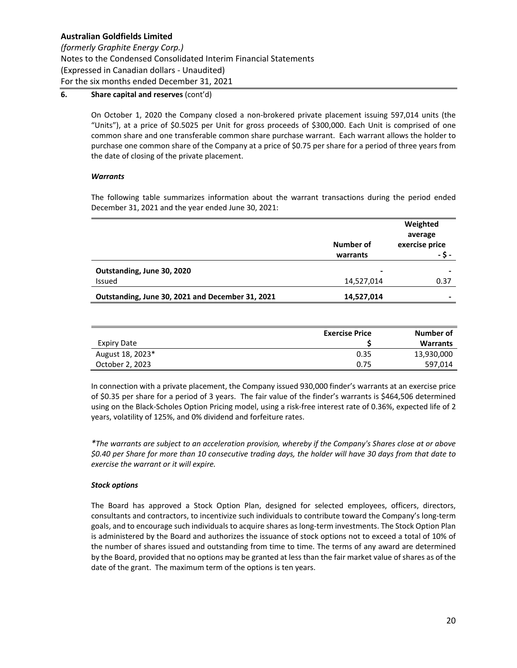## *(formerly Graphite Energy Corp.)*

Notes to the Condensed Consolidated Interim Financial Statements (Expressed in Canadian dollars ‐ Unaudited) For the six months ended December 31, 2021

## **6. Share capital and reserves** (cont'd)

On October 1, 2020 the Company closed a non‐brokered private placement issuing 597,014 units (the "Units"), at a price of \$0.5025 per Unit for gross proceeds of \$300,000. Each Unit is comprised of one common share and one transferable common share purchase warrant. Each warrant allows the holder to purchase one common share of the Company at a price of \$0.75 per share for a period of three years from the date of closing of the private placement.

## *Warrants*

The following table summarizes information about the warrant transactions during the period ended December 31, 2021 and the year ended June 30, 2021:

|                                                  |                       | Weighted<br>average      |
|--------------------------------------------------|-----------------------|--------------------------|
|                                                  | Number of<br>warrants | exercise price<br>- \$ - |
| Outstanding, June 30, 2020                       | -                     | -                        |
| Issued                                           | 14,527,014            | 0.37                     |
| Outstanding, June 30, 2021 and December 31, 2021 | 14,527,014            | -                        |

|                  | <b>Exercise Price</b> | Number of  |
|------------------|-----------------------|------------|
| Expiry Date      |                       | Warrants   |
| August 18, 2023* | 0.35                  | 13,930,000 |
| October 2, 2023  | 0.75                  | 597,014    |

In connection with a private placement, the Company issued 930,000 finder's warrants at an exercise price of \$0.35 per share for a period of 3 years. The fair value of the finder's warrants is \$464,506 determined using on the Black‐Scholes Option Pricing model, using a risk‐free interest rate of 0.36%, expected life of 2 years, volatility of 125%, and 0% dividend and forfeiture rates.

*\*The warrants are subject to an acceleration provision, whereby if the Company's Shares close at or above \$0.40 per Share for more than 10 consecutive trading days, the holder will have 30 days from that date to exercise the warrant or it will expire.*

## *Stock options*

The Board has approved a Stock Option Plan, designed for selected employees, officers, directors, consultants and contractors, to incentivize such individuals to contribute toward the Company's long‐term goals, and to encourage such individuals to acquire shares as long‐term investments. The Stock Option Plan is administered by the Board and authorizes the issuance of stock options not to exceed a total of 10% of the number of shares issued and outstanding from time to time. The terms of any award are determined by the Board, provided that no options may be granted at less than the fair market value of shares as of the date of the grant. The maximum term of the options is ten years.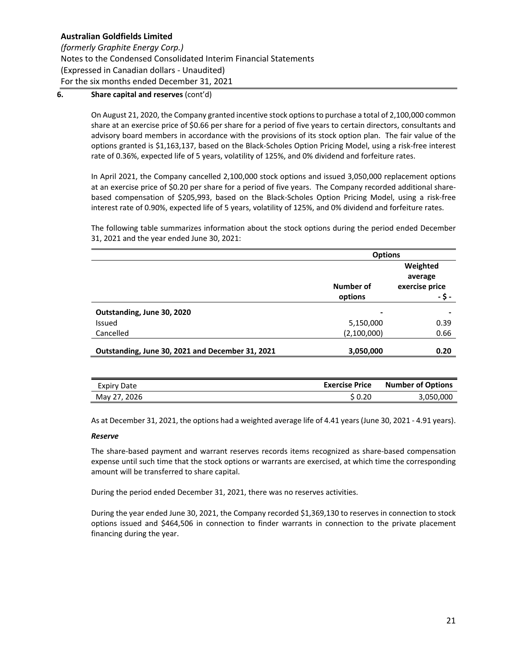## *(formerly Graphite Energy Corp.)*

Notes to the Condensed Consolidated Interim Financial Statements (Expressed in Canadian dollars ‐ Unaudited) For the six months ended December 31, 2021

## **6. Share capital and reserves** (cont'd)

On August 21, 2020, the Company granted incentive stock options to purchase a total of 2,100,000 common share at an exercise price of \$0.66 per share for a period of five years to certain directors, consultants and advisory board members in accordance with the provisions of its stock option plan. The fair value of the options granted is \$1,163,137, based on the Black‐Scholes Option Pricing Model, using a risk‐free interest rate of 0.36%, expected life of 5 years, volatility of 125%, and 0% dividend and forfeiture rates.

In April 2021, the Company cancelled 2,100,000 stock options and issued 3,050,000 replacement options at an exercise price of \$0.20 per share for a period of five years. The Company recorded additional share‐ based compensation of \$205,993, based on the Black‐Scholes Option Pricing Model, using a risk‐free interest rate of 0.90%, expected life of 5 years, volatility of 125%, and 0% dividend and forfeiture rates.

The following table summarizes information about the stock options during the period ended December 31, 2021 and the year ended June 30, 2021:

|                                                  | <b>Options</b> |                                       |  |
|--------------------------------------------------|----------------|---------------------------------------|--|
|                                                  | Number of      | Weighted<br>average<br>exercise price |  |
|                                                  | options        | - \$ -                                |  |
| Outstanding, June 30, 2020                       | -              |                                       |  |
| Issued                                           | 5,150,000      | 0.39                                  |  |
| Cancelled                                        | (2,100,000)    | 0.66                                  |  |
| Outstanding, June 30, 2021 and December 31, 2021 | 3,050,000      | 0.20                                  |  |

| Expiry Date  | <b>Exercise Price</b> | <b>Number of Options</b> |
|--------------|-----------------------|--------------------------|
| May 27, 2026 | S 0.20                | 3,050,000                |

As at December 31, 2021, the options had a weighted average life of 4.41 years (June 30, 2021 ‐ 4.91 years).

## *Reserve*

The share-based payment and warrant reserves records items recognized as share-based compensation expense until such time that the stock options or warrants are exercised, at which time the corresponding amount will be transferred to share capital.

During the period ended December 31, 2021, there was no reserves activities.

During the year ended June 30, 2021, the Company recorded \$1,369,130 to reserves in connection to stock options issued and \$464,506 in connection to finder warrants in connection to the private placement financing during the year.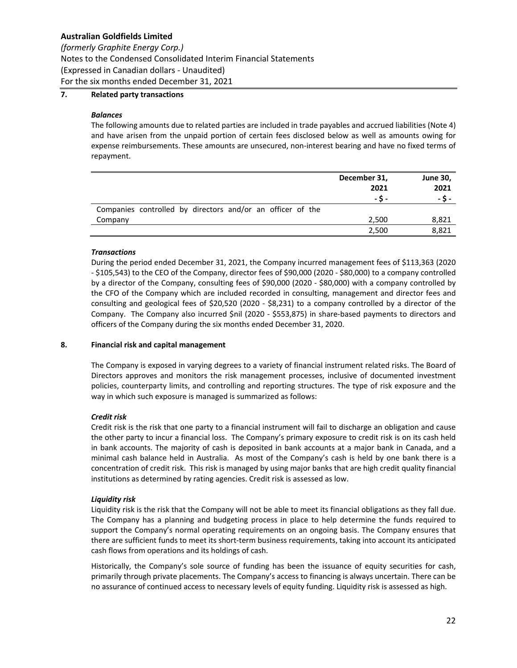*(formerly Graphite Energy Corp.)*

Notes to the Condensed Consolidated Interim Financial Statements

(Expressed in Canadian dollars ‐ Unaudited)

For the six months ended December 31, 2021

# **7. Related party transactions**

### *Balances*

The following amounts due to related parties are included in trade payables and accrued liabilities (Note 4) and have arisen from the unpaid portion of certain fees disclosed below as well as amounts owing for expense reimbursements. These amounts are unsecured, non-interest bearing and have no fixed terms of repayment.

|                                                            | December 31, | <b>June 30,</b> |
|------------------------------------------------------------|--------------|-----------------|
|                                                            | 2021         | 2021            |
|                                                            | - S -        | - \$ -          |
| Companies controlled by directors and/or an officer of the |              |                 |
| Company                                                    | 2,500        | 8,821           |
|                                                            | 2,500        | 8,821           |

### *Transactions*

During the period ended December 31, 2021, the Company incurred management fees of \$113,363 (2020 ‐ \$105,543) to the CEO of the Company, director fees of \$90,000 (2020 ‐ \$80,000) to a company controlled by a director of the Company, consulting fees of \$90,000 (2020 ‐ \$80,000) with a company controlled by the CFO of the Company which are included recorded in consulting, management and director fees and consulting and geological fees of  $$20,520$   $(2020 - $8,231)$  to a company controlled by a director of the Company. The Company also incurred \$nil (2020 ‐ \$553,875) in share‐based payments to directors and officers of the Company during the six months ended December 31, 2020.

## **8. Financial risk and capital management**

The Company is exposed in varying degrees to a variety of financial instrument related risks. The Board of Directors approves and monitors the risk management processes, inclusive of documented investment policies, counterparty limits, and controlling and reporting structures. The type of risk exposure and the way in which such exposure is managed is summarized as follows:

## *Credit risk*

Credit risk is the risk that one party to a financial instrument will fail to discharge an obligation and cause the other party to incur a financial loss. The Company's primary exposure to credit risk is on its cash held in bank accounts. The majority of cash is deposited in bank accounts at a major bank in Canada, and a minimal cash balance held in Australia. As most of the Company's cash is held by one bank there is a concentration of credit risk. This risk is managed by using major banks that are high credit quality financial institutions as determined by rating agencies. Credit risk is assessed as low.

#### *Liquidity risk*

Liquidity risk is the risk that the Company will not be able to meet its financial obligations as they fall due. The Company has a planning and budgeting process in place to help determine the funds required to support the Company's normal operating requirements on an ongoing basis. The Company ensures that there are sufficient funds to meet its short‐term business requirements, taking into account its anticipated cash flows from operations and its holdings of cash.

Historically, the Company's sole source of funding has been the issuance of equity securities for cash, primarily through private placements. The Company's access to financing is always uncertain. There can be no assurance of continued access to necessary levels of equity funding. Liquidity risk is assessed as high.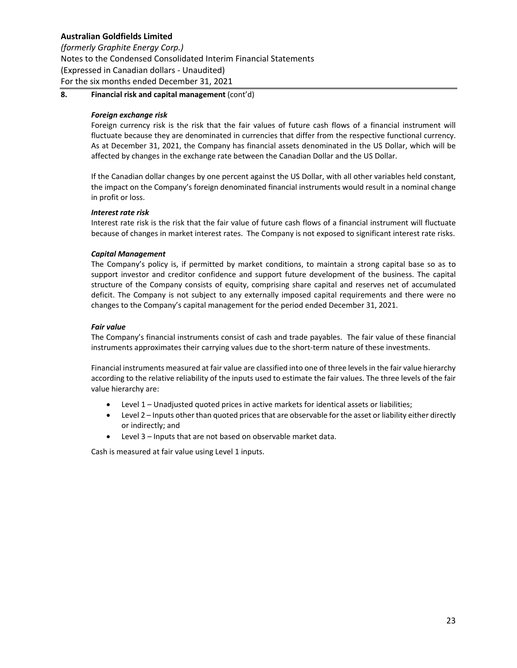## *(formerly Graphite Energy Corp.)*

Notes to the Condensed Consolidated Interim Financial Statements (Expressed in Canadian dollars ‐ Unaudited) For the six months ended December 31, 2021

## **8. Financial risk and capital management** (cont'd)

### *Foreign exchange risk*

Foreign currency risk is the risk that the fair values of future cash flows of a financial instrument will fluctuate because they are denominated in currencies that differ from the respective functional currency. As at December 31, 2021, the Company has financial assets denominated in the US Dollar, which will be affected by changes in the exchange rate between the Canadian Dollar and the US Dollar.

If the Canadian dollar changes by one percent against the US Dollar, with all other variables held constant, the impact on the Company's foreign denominated financial instruments would result in a nominal change in profit or loss.

### *Interest rate risk*

Interest rate risk is the risk that the fair value of future cash flows of a financial instrument will fluctuate because of changes in market interest rates. The Company is not exposed to significant interest rate risks.

### *Capital Management*

The Company's policy is, if permitted by market conditions, to maintain a strong capital base so as to support investor and creditor confidence and support future development of the business. The capital structure of the Company consists of equity, comprising share capital and reserves net of accumulated deficit. The Company is not subject to any externally imposed capital requirements and there were no changes to the Company's capital management for the period ended December 31, 2021.

### *Fair value*

The Company's financial instruments consist of cash and trade payables. The fair value of these financial instruments approximates their carrying values due to the short-term nature of these investments.

Financial instruments measured at fair value are classified into one of three levels in the fair value hierarchy according to the relative reliability of the inputs used to estimate the fair values. The three levels of the fair value hierarchy are:

- Level 1 Unadjusted quoted prices in active markets for identical assets or liabilities;
- Level 2 Inputs other than quoted prices that are observable for the asset or liability either directly or indirectly; and
- Level 3 Inputs that are not based on observable market data.

Cash is measured at fair value using Level 1 inputs.